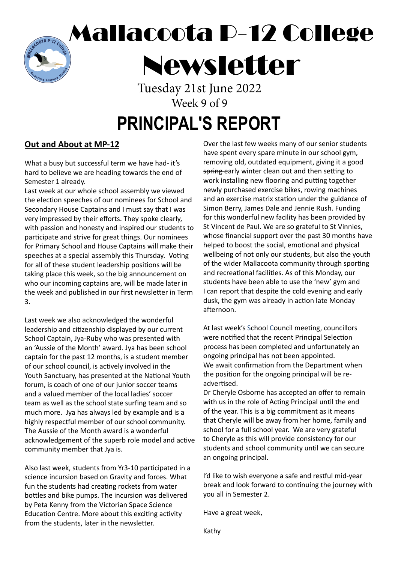Mallacoota P-12 College

Newsletter

Tuesday 21st June 2022 Week 9 of 9

### **PRINCIPAL'S REPORT**

#### **Out and About at MP-12**

TR P-12

What a busy but successful term we have had- it's hard to believe we are heading towards the end of Semester 1 already.

Last week at our whole school assembly we viewed the election speeches of our nominees for School and Secondary House Captains and I must say that I was very impressed by their efforts. They spoke clearly, with passion and honesty and inspired our students to participate and strive for great things. Our nominees for Primary School and House Captains will make their speeches at a special assembly this Thursday. Voting for all of these student leadership positions will be taking place this week, so the big announcement on who our incoming captains are, will be made later in the week and published in our first newsletter in Term 3.

Last week we also acknowledged the wonderful leadership and citizenship displayed by our current School Captain, Jya-Ruby who was presented with an 'Aussie of the Month' award. Jya has been school captain for the past 12 months, is a student member of our school council, is actively involved in the Youth Sanctuary, has presented at the National Youth forum, is coach of one of our junior soccer teams and a valued member of the local ladies' soccer team as well as the school state surfing team and so much more. Jya has always led by example and is a highly respectful member of our school community. The Aussie of the Month award is a wonderful acknowledgement of the superb role model and active community member that Jya is.

Also last week, students from Yr3-10 participated in a science incursion based on Gravity and forces. What fun the students had creating rockets from water bottles and bike pumps. The incursion was delivered by Peta Kenny from the Victorian Space Science Education Centre. More about this exciting activity from the students, later in the newsletter.

Over the last few weeks many of our senior students have spent every spare minute in our school gym, removing old, outdated equipment, giving it a good spring early winter clean out and then setting to work installing new flooring and putting together newly purchased exercise bikes, rowing machines and an exercise matrix station under the guidance of Simon Berry, James Dale and Jennie Rush. Funding for this wonderful new facility has been provided by St Vincent de Paul. We are so grateful to St Vinnies, whose financial support over the past 30 months have helped to boost the social, emotional and physical wellbeing of not only our students, but also the youth of the wider Mallacoota community through sporting and recreational facilities. As of this Monday, our students have been able to use the 'new' gym and I can report that despite the cold evening and early dusk, the gym was already in action late Monday afternoon.

At last week's School Council meeting, councillors were notified that the recent Principal Selection process has been completed and unfortunately an ongoing principal has not been appointed. We await confirmation from the Department when the position for the ongoing principal will be readvertised.

Dr Cheryle Osborne has accepted an offer to remain with us in the role of Acting Principal until the end of the year. This is a big commitment as it means that Cheryle will be away from her home, family and school for a full school year. We are very grateful to Cheryle as this will provide consistency for our students and school community until we can secure an ongoing principal.

I'd like to wish everyone a safe and restful mid-year break and look forward to continuing the journey with you all in Semester 2.

Have a great week,

Kathy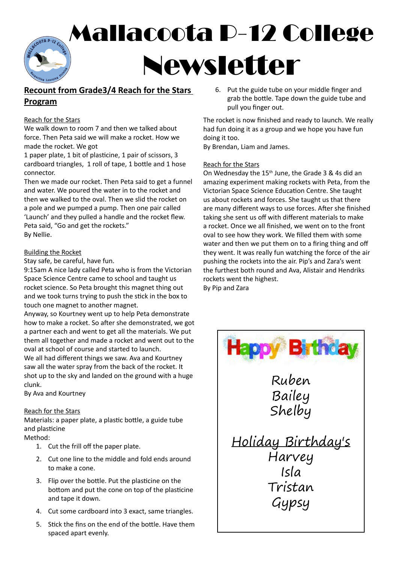# Mallacoota P-12 College  $TAP - I<sub>2</sub>$ Newsletter

#### **Recount from Grade3/4 Reach for the Stars Program**

#### Reach for the Stars

We walk down to room 7 and then we talked about force. Then Peta said we will make a rocket. How we made the rocket. We got

1 paper plate, 1 bit of plasticine, 1 pair of scissors, 3 cardboard triangles, 1 roll of tape, 1 bottle and 1 hose connector.

Then we made our rocket. Then Peta said to get a funnel and water. We poured the water in to the rocket and then we walked to the oval. Then we slid the rocket on a pole and we pumped a pump. Then one pair called 'Launch' and they pulled a handle and the rocket flew. Peta said, "Go and get the rockets." By Nellie.

#### Building the Rocket

Stay safe, be careful, have fun.

9:15am A nice lady called Peta who is from the Victorian Space Science Centre came to school and taught us rocket science. So Peta brought this magnet thing out and we took turns trying to push the stick in the box to touch one magnet to another magnet.

Anyway, so Kourtney went up to help Peta demonstrate how to make a rocket. So after she demonstrated, we got a partner each and went to get all the materials. We put them all together and made a rocket and went out to the oval at school of course and started to launch. We all had different things we saw. Ava and Kourtney saw all the water spray from the back of the rocket. It shot up to the sky and landed on the ground with a huge clunk.

By Ava and Kourtney

#### Reach for the Stars

Materials: a paper plate, a plastic bottle, a guide tube and plasticine

Method:

- 1. Cut the frill off the paper plate.
- 2. Cut one line to the middle and fold ends around to make a cone.
- 3. Flip over the bottle. Put the plasticine on the bottom and put the cone on top of the plasticine and tape it down.
- 4. Cut some cardboard into 3 exact, same triangles.
- 5. Stick the fins on the end of the bottle. Have them spaced apart evenly.

6. Put the guide tube on your middle finger and grab the bottle. Tape down the guide tube and pull you finger out.

The rocket is now finished and ready to launch. We really had fun doing it as a group and we hope you have fun doing it too.

By Brendan, Liam and James.

#### Reach for the Stars

On Wednesday the 15th June, the Grade 3 & 4s did an amazing experiment making rockets with Peta, from the Victorian Space Science Education Centre. She taught us about rockets and forces. She taught us that there are many different ways to use forces. After she finished taking she sent us off with different materials to make a rocket. Once we all finished, we went on to the front oval to see how they work. We filled them with some water and then we put them on to a firing thing and off they went. It was really fun watching the force of the air pushing the rockets into the air. Pip's and Zara's went the furthest both round and Ava, Alistair and Hendriks rockets went the highest.

By Pip and Zara

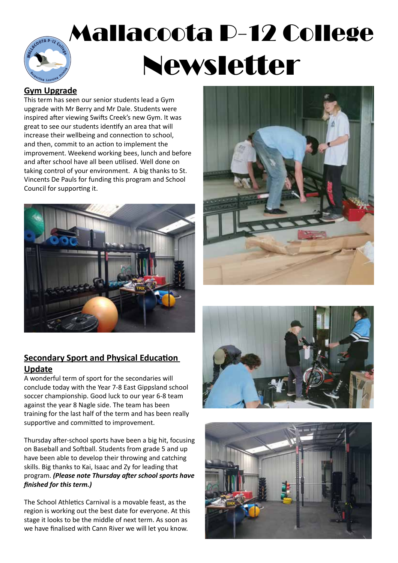# Mallacoota P-12 College Newsletter

#### **Gym Upgrade**

This term has seen our senior students lead a Gym upgrade with Mr Berry and Mr Dale. Students were inspired after viewing Swifts Creek's new Gym. It was great to see our students identify an area that will increase their wellbeing and connection to school, and then, commit to an action to implement the improvement. Weekend working bees, lunch and before and after school have all been utilised. Well done on taking control of your environment. A big thanks to St. Vincents De Pauls for funding this program and School Council for supporting it.





#### **Secondary Sport and Physical Education Update**

A wonderful term of sport for the secondaries will conclude today with the Year 7-8 East Gippsland school soccer championship. Good luck to our year 6-8 team against the year 8 Nagle side. The team has been training for the last half of the term and has been really supportive and committed to improvement.

Thursday after-school sports have been a big hit, focusing on Baseball and Softball. Students from grade 5 and up have been able to develop their throwing and catching skills. Big thanks to Kai, Isaac and Zy for leading that program. *(Please note Thursday after school sports have finished for this term.)*

The School Athletics Carnival is a movable feast, as the region is working out the best date for everyone. At this stage it looks to be the middle of next term. As soon as we have finalised with Cann River we will let you know.



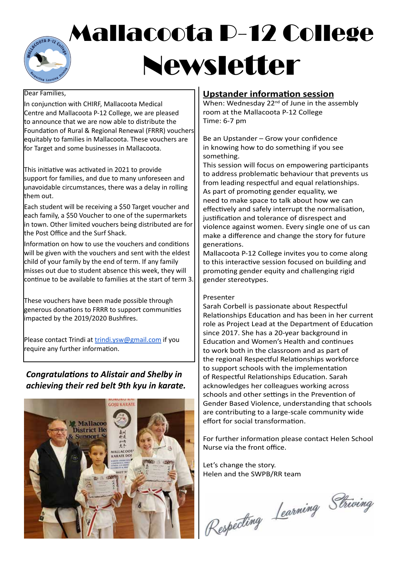### Mallacoota P-12 College TA P-12 Newsletter

#### Dear Families,

In conjunction with CHIRF, Mallacoota Medical Centre and Mallacoota P-12 College, we are pleased to announce that we are now able to distribute the Foundation of Rural & Regional Renewal (FRRR) vouchers equitably to families in Mallacoota. These vouchers are for Target and some businesses in Mallacoota.

This initiative was activated in 2021 to provide support for families, and due to many unforeseen and unavoidable circumstances, there was a delay in rolling them out.

Each student will be receiving a \$50 Target voucher and each family, a \$50 Voucher to one of the supermarkets in town. Other limited vouchers being distributed are for the Post Office and the Surf Shack.

Information on how to use the vouchers and conditions will be given with the vouchers and sent with the eldest child of your family by the end of term. If any family misses out due to student absence this week, they will continue to be available to families at the start of term 3.

These vouchers have been made possible through generous donations to FRRR to support communities impacted by the 2019/2020 Bushfires.

Please contact Trindi at trindi.ysw@gmail.com if you require any further information.

#### *Congratulations to Alistair and Shelby in achieving their red belt 9th kyu in karate.*

![](_page_3_Picture_9.jpeg)

#### **Upstander information session**

When: Wednesday  $22<sup>nd</sup>$  of June in the assembly room at the Mallacoota P-12 College Time: 6-7 pm

Be an Upstander – Grow your confidence in knowing how to do something if you see something.

This session will focus on empowering participants to address problematic behaviour that prevents us from leading respectful and equal relationships. As part of promoting gender equality, we need to make space to talk about how we can effectively and safely interrupt the normalisation, justification and tolerance of disrespect and violence against women. Every single one of us can make a difference and change the story for future generations.

Mallacoota P-12 College invites you to come along to this interactive session focused on building and promoting gender equity and challenging rigid gender stereotypes.

#### Presenter

Sarah Corbell is passionate about Respectful Relationships Education and has been in her current role as Project Lead at the Department of Education since 2017. She has a 20-year background in Education and Women's Health and continues to work both in the classroom and as part of the regional Respectful Relationships workforce to support schools with the implementation of Respectful Relationships Education. Sarah acknowledges her colleagues working across schools and other settings in the Prevention of Gender Based Violence, understanding that schools are contributing to a large-scale community wide effort for social transformation.

For further information please contact Helen School Nurse via the front office.

Let's change the story. Helen and the SWPB/RR team

Respecting Learning Striving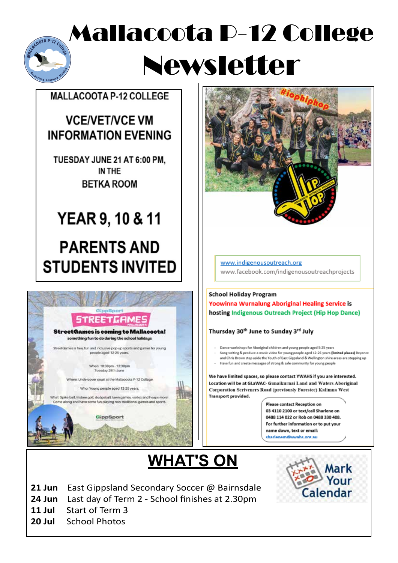### Mallacoota P-12 College OTA P-12 Co Newsletter

#### **MALLACOOTA P-12 COLLEGE**

### **VCE/VET/VCE VM INFORMATION EVENING**

TUESDAY JUNE 21 AT 6:00 PM. IN THE **BETKA ROOM** 

# **YEAR 9, 10 & 11 PARENTS AND**

# **STUDENTS INVITED**

![](_page_4_Picture_6.jpeg)

![](_page_4_Picture_7.jpeg)

www.indigenousoutreach.org www.facebook.com/indigenousoutreachprojects

#### **School Holiday Program** Yoowinna Wurnalung Aboriginal Healing Service is hosting Indigenous Outreach Project (Hip Hop Dance)

Thursday 30<sup>th</sup> June to Sunday 3<sup>rd</sup> July

- Dance workshops for Aboriginal children and young people aged 5-25 years
- ong writing & produce a music video for young people aged 12-25 years **(limited places)** Beyonce and Chris Brown step aside the Youth of East Gippsland & Wellington shire areas are stepping up
- Have fun and create messages of strong & safe community for young people

We have limited spaces, so please contact YWAHS if you are interested. Location will be at GLaWAC- Gunaikurnai Land and Waters Aboriginal Corporation Scriveners Road (previously Forestec) Kalimna West Transport provided.

> **Please contact Reception on** 03 4110 2100 or text/call Sharlene on 0488 114 022 or Rob on 0488 330 408. For further information or to put your name down, text or email: sharlanam@vwahs.org.au

## **WHAT'S ON**

Mark **Calendar** 

- **21 Jun** East Gippsland Secondary Soccer @ Bairnsdale
- **24 Jun** Last day of Term 2 School finishes at 2.30pm
- **11 Jul** Start of Term 3
- **20 Jul** School Photos